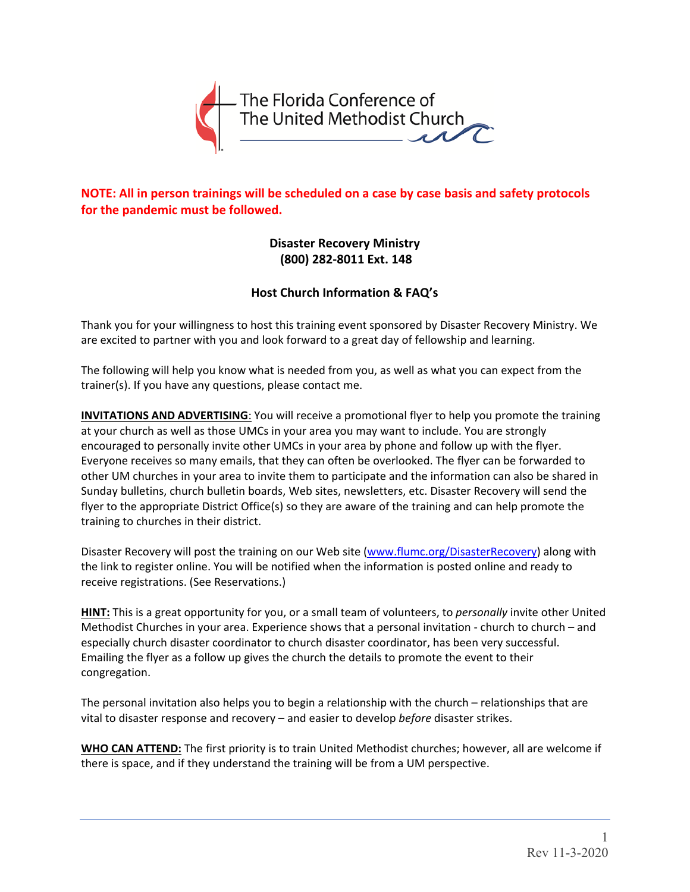

**NOTE: All in person trainings will be scheduled on a case by case basis and safety protocols for the pandemic must be followed.** 

> **Disaster Recovery Ministry (800) 282‐8011 Ext. 148**

## **Host Church Information & FAQ's**

Thank you for your willingness to host this training event sponsored by Disaster Recovery Ministry. We are excited to partner with you and look forward to a great day of fellowship and learning.

The following will help you know what is needed from you, as well as what you can expect from the trainer(s). If you have any questions, please contact me.

**INVITATIONS AND ADVERTISING**: You will receive a promotional flyer to help you promote the training at your church as well as those UMCs in your area you may want to include. You are strongly encouraged to personally invite other UMCs in your area by phone and follow up with the flyer. Everyone receives so many emails, that they can often be overlooked. The flyer can be forwarded to other UM churches in your area to invite them to participate and the information can also be shared in Sunday bulletins, church bulletin boards, Web sites, newsletters, etc. Disaster Recovery will send the flyer to the appropriate District Office(s) so they are aware of the training and can help promote the training to churches in their district.

Disaster Recovery will post the training on our Web site (www.flumc.org/DisasterRecovery) along with the link to register online. You will be notified when the information is posted online and ready to receive registrations. (See Reservations.)

**HINT:** This is a great opportunity for you, or a small team of volunteers, to *personally* invite other United Methodist Churches in your area. Experience shows that a personal invitation - church to church – and especially church disaster coordinator to church disaster coordinator, has been very successful. Emailing the flyer as a follow up gives the church the details to promote the event to their congregation.

The personal invitation also helps you to begin a relationship with the church – relationships that are vital to disaster response and recovery – and easier to develop *before* disaster strikes.

**WHO CAN ATTEND:** The first priority is to train United Methodist churches; however, all are welcome if there is space, and if they understand the training will be from a UM perspective.